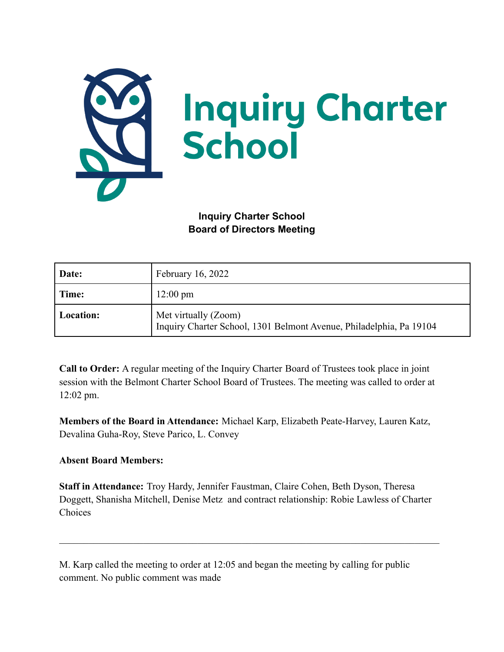

**Inquiry Charter School Board of Directors Meeting**

| Date:     | February 16, 2022                                                                           |
|-----------|---------------------------------------------------------------------------------------------|
| Time:     | $12:00 \text{ pm}$                                                                          |
| Location: | Met virtually (Zoom)<br>Inquiry Charter School, 1301 Belmont Avenue, Philadelphia, Pa 19104 |

**Call to Order:** A regular meeting of the Inquiry Charter Board of Trustees took place in joint session with the Belmont Charter School Board of Trustees. The meeting was called to order at 12:02 pm.

**Members of the Board in Attendance:** Michael Karp, Elizabeth Peate-Harvey, Lauren Katz, Devalina Guha-Roy, Steve Parico, L. Convey

## **Absent Board Members:**

**Staff in Attendance:** Troy Hardy, Jennifer Faustman, Claire Cohen, Beth Dyson, Theresa Doggett, Shanisha Mitchell, Denise Metz and contract relationship: Robie Lawless of Charter Choices

 $\mathcal{L}_\mathcal{L} = \{ \mathcal{L}_\mathcal{L} = \{ \mathcal{L}_\mathcal{L} = \{ \mathcal{L}_\mathcal{L} = \{ \mathcal{L}_\mathcal{L} = \{ \mathcal{L}_\mathcal{L} = \{ \mathcal{L}_\mathcal{L} = \{ \mathcal{L}_\mathcal{L} = \{ \mathcal{L}_\mathcal{L} = \{ \mathcal{L}_\mathcal{L} = \{ \mathcal{L}_\mathcal{L} = \{ \mathcal{L}_\mathcal{L} = \{ \mathcal{L}_\mathcal{L} = \{ \mathcal{L}_\mathcal{L} = \{ \mathcal{L}_\mathcal{$ 

M. Karp called the meeting to order at 12:05 and began the meeting by calling for public comment. No public comment was made